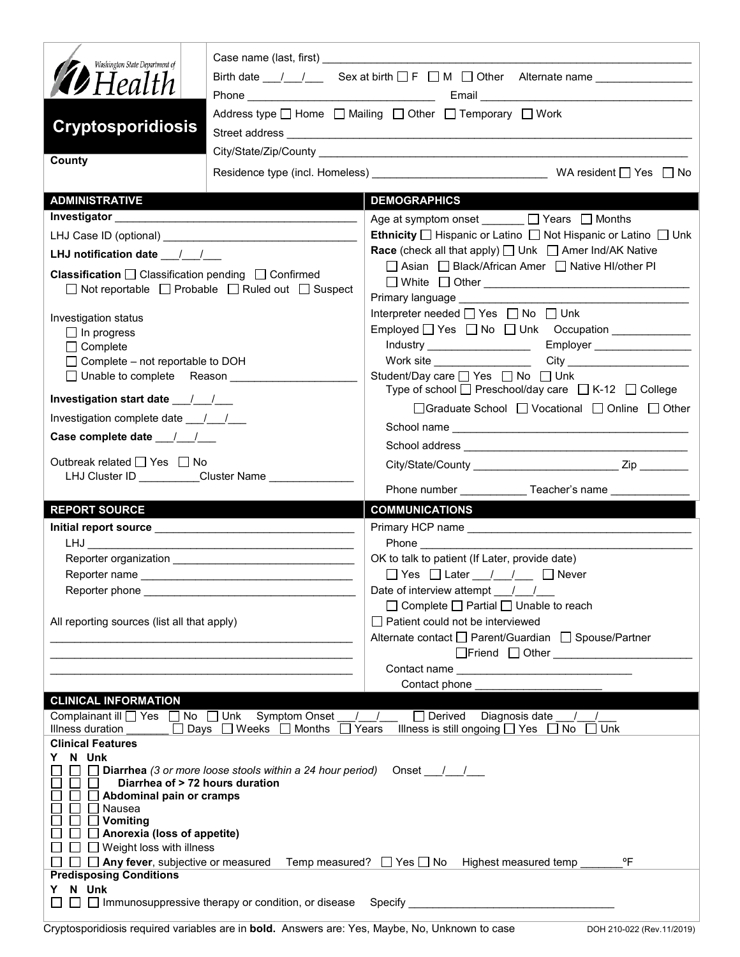| Washington State Department of<br><b>D</b> Health<br><b>Cryptosporidiosis</b>                                                                                                                                                                                                                                         | Case name (last, first) and the state of the state of the state of the state of the state of the state of the state of the state of the state of the state of the state of the state of the state of the state of the state of<br>Birth date $\frac{1}{\sqrt{2}}$ Sex at birth $\Box$ F $\Box$ M $\Box$ Other Alternate name $\Box$<br>Address type   Home   Mailing   Other   Temporary   Work |
|-----------------------------------------------------------------------------------------------------------------------------------------------------------------------------------------------------------------------------------------------------------------------------------------------------------------------|-------------------------------------------------------------------------------------------------------------------------------------------------------------------------------------------------------------------------------------------------------------------------------------------------------------------------------------------------------------------------------------------------|
|                                                                                                                                                                                                                                                                                                                       |                                                                                                                                                                                                                                                                                                                                                                                                 |
| County                                                                                                                                                                                                                                                                                                                |                                                                                                                                                                                                                                                                                                                                                                                                 |
| <b>ADMINISTRATIVE</b>                                                                                                                                                                                                                                                                                                 | <b>DEMOGRAPHICS</b>                                                                                                                                                                                                                                                                                                                                                                             |
|                                                                                                                                                                                                                                                                                                                       | Age at symptom onset ______ □ Years □ Months                                                                                                                                                                                                                                                                                                                                                    |
|                                                                                                                                                                                                                                                                                                                       | Ethnicity   Hispanic or Latino   Not Hispanic or Latino   Unk                                                                                                                                                                                                                                                                                                                                   |
| LHJ notification date $\frac{1}{\sqrt{2}}$                                                                                                                                                                                                                                                                            | <b>Race</b> (check all that apply) □ Unk □ Amer Ind/AK Native                                                                                                                                                                                                                                                                                                                                   |
| <b>Classification</b> $\Box$ Classification pending $\Box$ Confirmed<br>□ Not reportable □ Probable □ Ruled out □ Suspect                                                                                                                                                                                             | □ Asian □ Black/African Amer □ Native HI/other PI<br><b>Primary language example of the state of the state of the state of the state of the state of the state of the state of the state of the state of the state of the state of the state of the state of the state of the state o</b>                                                                                                       |
| Investigation status                                                                                                                                                                                                                                                                                                  | Interpreter needed □ Yes □ No □ Unk                                                                                                                                                                                                                                                                                                                                                             |
| $\Box$ In progress                                                                                                                                                                                                                                                                                                    | Employed T Yes T No T Unk Occupation ____________                                                                                                                                                                                                                                                                                                                                               |
| $\Box$ Complete                                                                                                                                                                                                                                                                                                       |                                                                                                                                                                                                                                                                                                                                                                                                 |
| □ Complete - not reportable to DOH<br>□ Unable to complete Reason                                                                                                                                                                                                                                                     | Student/Day care <u>Sines</u> Pose D No D Unk                                                                                                                                                                                                                                                                                                                                                   |
|                                                                                                                                                                                                                                                                                                                       | Type of school $\Box$ Preschool/day care $\Box$ K-12 $\Box$ College                                                                                                                                                                                                                                                                                                                             |
| Investigation complete date 11                                                                                                                                                                                                                                                                                        | □Graduate School □ Vocational □ Online □ Other                                                                                                                                                                                                                                                                                                                                                  |
|                                                                                                                                                                                                                                                                                                                       |                                                                                                                                                                                                                                                                                                                                                                                                 |
|                                                                                                                                                                                                                                                                                                                       |                                                                                                                                                                                                                                                                                                                                                                                                 |
| Outbreak related $\Box$ Yes $\Box$ No<br>LHJ Cluster ID _________Cluster Name _____________                                                                                                                                                                                                                           |                                                                                                                                                                                                                                                                                                                                                                                                 |
|                                                                                                                                                                                                                                                                                                                       | Phone number _______________Teacher's name ____________                                                                                                                                                                                                                                                                                                                                         |
| <b>REPORT SOURCE</b>                                                                                                                                                                                                                                                                                                  | <b>COMMUNICATIONS</b>                                                                                                                                                                                                                                                                                                                                                                           |
|                                                                                                                                                                                                                                                                                                                       |                                                                                                                                                                                                                                                                                                                                                                                                 |
|                                                                                                                                                                                                                                                                                                                       |                                                                                                                                                                                                                                                                                                                                                                                                 |
|                                                                                                                                                                                                                                                                                                                       | OK to talk to patient (If Later, provide date)                                                                                                                                                                                                                                                                                                                                                  |
|                                                                                                                                                                                                                                                                                                                       | □ Yes □ Later / / □ Never                                                                                                                                                                                                                                                                                                                                                                       |
| Reporter phone and the state of the state of the state of the state of the state of the state of the state of the state of the state of the state of the state of the state of the state of the state of the state of the stat                                                                                        | Date of interview attempt / /<br>$\Box$ Complete $\Box$ Partial $\Box$ Unable to reach                                                                                                                                                                                                                                                                                                          |
| All reporting sources (list all that apply)                                                                                                                                                                                                                                                                           | □ Patient could not be interviewed                                                                                                                                                                                                                                                                                                                                                              |
|                                                                                                                                                                                                                                                                                                                       | Alternate contact   Parent/Guardian   Spouse/Partner                                                                                                                                                                                                                                                                                                                                            |
|                                                                                                                                                                                                                                                                                                                       | □Friend □ Other <u>___________________</u>                                                                                                                                                                                                                                                                                                                                                      |
|                                                                                                                                                                                                                                                                                                                       |                                                                                                                                                                                                                                                                                                                                                                                                 |
| <b>CLINICAL INFORMATION</b>                                                                                                                                                                                                                                                                                           | Contact phone                                                                                                                                                                                                                                                                                                                                                                                   |
| Complainant ill   Yes   No   Unk Symptom Onset<br>□ Days □ Weeks □ Months<br>Illness duration                                                                                                                                                                                                                         | □ Derived Diagnosis date<br>Illness is still ongoing $\Box$ Yes $\Box$ No<br>$\Box$ Years<br>$\Box$ Unk                                                                                                                                                                                                                                                                                         |
| <b>Clinical Features</b>                                                                                                                                                                                                                                                                                              |                                                                                                                                                                                                                                                                                                                                                                                                 |
| N Unk<br>Diarrhea (3 or more loose stools within a 24 hour period)<br>Diarrhea of > 72 hours duration<br>Abdominal pain or cramps<br>Nausea<br>$\Box$ Vomiting<br>$\Box$ Anorexia (loss of appetite)<br>$\Box$ Weight loss with illness<br>$\Box$ Any fever, subjective or measured<br><b>Predisposing Conditions</b> | Onset $\frac{1}{1}$ /<br>$^{\circ}$ F<br>Temp measured? $\Box$ Yes $\Box$ No<br>Highest measured temp                                                                                                                                                                                                                                                                                           |
| N Unk<br>Y.<br>□ Immunosuppressive therapy or condition, or disease                                                                                                                                                                                                                                                   |                                                                                                                                                                                                                                                                                                                                                                                                 |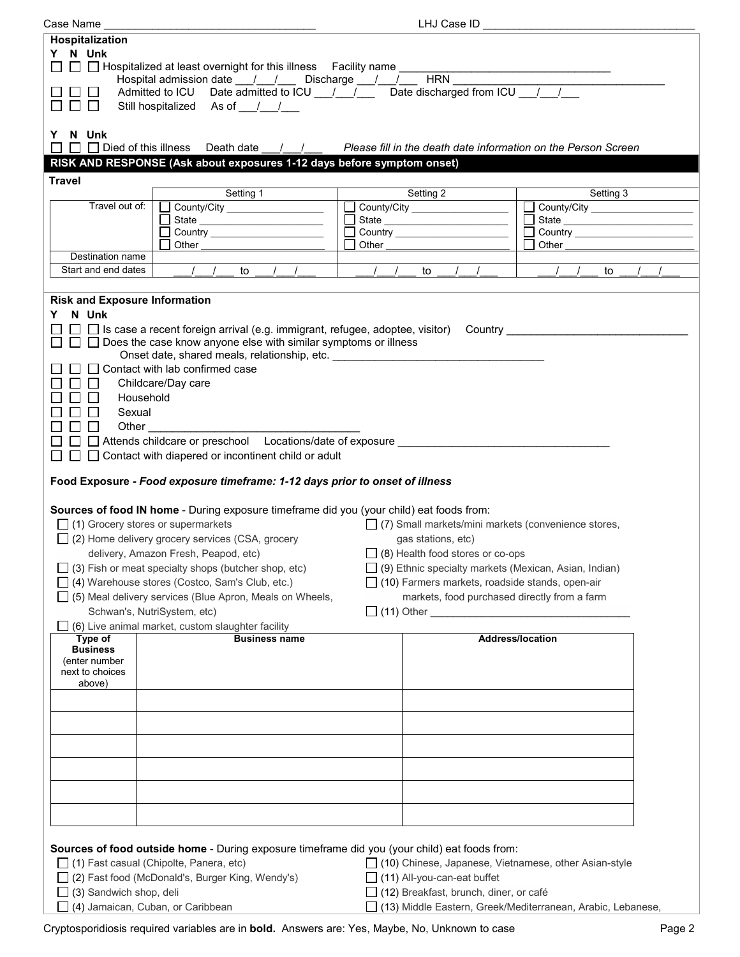| Case Name                            |                                                                                               |               | LHJ Case ID                                                                                                                                                                                                                    |                                                                                                                                                                                                                                |
|--------------------------------------|-----------------------------------------------------------------------------------------------|---------------|--------------------------------------------------------------------------------------------------------------------------------------------------------------------------------------------------------------------------------|--------------------------------------------------------------------------------------------------------------------------------------------------------------------------------------------------------------------------------|
| Hospitalization                      |                                                                                               |               |                                                                                                                                                                                                                                |                                                                                                                                                                                                                                |
| Y N Unk                              |                                                                                               |               |                                                                                                                                                                                                                                |                                                                                                                                                                                                                                |
| $\Box$                               | $\Box$ Hospitalized at least overnight for this illness Facility name                         |               |                                                                                                                                                                                                                                |                                                                                                                                                                                                                                |
|                                      | Hospital admission date __/ __/ __ Discharge __/ __/ __ HRN _                                 |               |                                                                                                                                                                                                                                |                                                                                                                                                                                                                                |
|                                      | Admitted to ICU Date admitted to ICU / / / Date discharged from ICU / /                       |               |                                                                                                                                                                                                                                |                                                                                                                                                                                                                                |
| $\mathbf{L}$                         | Still hospitalized As of / /                                                                  |               |                                                                                                                                                                                                                                |                                                                                                                                                                                                                                |
|                                      |                                                                                               |               |                                                                                                                                                                                                                                |                                                                                                                                                                                                                                |
| Y N Unk                              |                                                                                               |               |                                                                                                                                                                                                                                |                                                                                                                                                                                                                                |
| $\perp$                              | $\Box$ Died of this illness Death date                                                        |               |                                                                                                                                                                                                                                | / / Please fill in the death date information on the Person Screen                                                                                                                                                             |
|                                      | RISK AND RESPONSE (Ask about exposures 1-12 days before symptom onset)                        |               |                                                                                                                                                                                                                                |                                                                                                                                                                                                                                |
| <b>Travel</b>                        |                                                                                               |               |                                                                                                                                                                                                                                |                                                                                                                                                                                                                                |
|                                      | Setting 1                                                                                     |               | Setting 2                                                                                                                                                                                                                      | Setting 3                                                                                                                                                                                                                      |
| Travel out of:                       | County/City ____________________                                                              |               | County/City ____________________                                                                                                                                                                                               | County/City _______________________                                                                                                                                                                                            |
|                                      | State _________________________                                                               |               |                                                                                                                                                                                                                                | Ē<br>State                                                                                                                                                                                                                     |
|                                      | Country ______________________                                                                |               |                                                                                                                                                                                                                                | ⊏                                                                                                                                                                                                                              |
|                                      | Other                                                                                         |               | Other the contract of the contract of the contract of the contract of the contract of the contract of the contract of the contract of the contract of the contract of the contract of the contract of the contract of the cont | Other the contract of the contract of the contract of the contract of the contract of the contract of the contract of the contract of the contract of the contract of the contract of the contract of the contract of the cont |
| Destination name                     |                                                                                               |               |                                                                                                                                                                                                                                |                                                                                                                                                                                                                                |
| Start and end dates                  | $\frac{1}{2}$<br>$\sqrt{2}$<br>$\prime$<br>to                                                 | $\frac{1}{2}$ | $\left  \begin{array}{cc} \end{array} \right $<br>to                                                                                                                                                                           | $\prime$<br>$\prime$<br>$\sqrt{2}$<br>to                                                                                                                                                                                       |
|                                      |                                                                                               |               |                                                                                                                                                                                                                                |                                                                                                                                                                                                                                |
| <b>Risk and Exposure Information</b> |                                                                                               |               |                                                                                                                                                                                                                                |                                                                                                                                                                                                                                |
| N Unk<br>Y.                          |                                                                                               |               |                                                                                                                                                                                                                                |                                                                                                                                                                                                                                |
|                                      | $\Box$ Is case a recent foreign arrival (e.g. immigrant, refugee, adoptee, visitor) Country   |               |                                                                                                                                                                                                                                |                                                                                                                                                                                                                                |
|                                      | $\Box$ Does the case know anyone else with similar symptoms or illness                        |               |                                                                                                                                                                                                                                |                                                                                                                                                                                                                                |
|                                      | Onset date, shared meals, relationship, etc. ___________________________________              |               |                                                                                                                                                                                                                                |                                                                                                                                                                                                                                |
|                                      | Contact with lab confirmed case                                                               |               |                                                                                                                                                                                                                                |                                                                                                                                                                                                                                |
| $\perp$                              | Childcare/Day care                                                                            |               |                                                                                                                                                                                                                                |                                                                                                                                                                                                                                |
|                                      | Household                                                                                     |               |                                                                                                                                                                                                                                |                                                                                                                                                                                                                                |
| Sexual                               |                                                                                               |               |                                                                                                                                                                                                                                |                                                                                                                                                                                                                                |
|                                      |                                                                                               |               |                                                                                                                                                                                                                                |                                                                                                                                                                                                                                |
| ⊔                                    | Other                                                                                         |               |                                                                                                                                                                                                                                |                                                                                                                                                                                                                                |
|                                      | $\Box$ Attends childcare or preschool Locations/date of exposure                              |               |                                                                                                                                                                                                                                |                                                                                                                                                                                                                                |
|                                      | Contact with diapered or incontinent child or adult                                           |               |                                                                                                                                                                                                                                |                                                                                                                                                                                                                                |
|                                      |                                                                                               |               |                                                                                                                                                                                                                                |                                                                                                                                                                                                                                |
|                                      | Food Exposure - Food exposure timeframe: 1-12 days prior to onset of illness                  |               |                                                                                                                                                                                                                                |                                                                                                                                                                                                                                |
|                                      |                                                                                               |               |                                                                                                                                                                                                                                |                                                                                                                                                                                                                                |
|                                      | Sources of food IN home - During exposure timeframe did you (your child) eat foods from:      |               |                                                                                                                                                                                                                                |                                                                                                                                                                                                                                |
|                                      | $\Box$ (1) Grocery stores or supermarkets                                                     |               | $\Box$ (7) Small markets/mini markets (convenience stores,                                                                                                                                                                     |                                                                                                                                                                                                                                |
|                                      | $\Box$ (2) Home delivery grocery services (CSA, grocery                                       |               | gas stations, etc)                                                                                                                                                                                                             |                                                                                                                                                                                                                                |
|                                      | delivery, Amazon Fresh, Peapod, etc)                                                          |               | $\Box$ (8) Health food stores or co-ops                                                                                                                                                                                        |                                                                                                                                                                                                                                |
|                                      | (3) Fish or meat specialty shops (butcher shop, etc)                                          |               | $\Box$ (9) Ethnic specialty markets (Mexican, Asian, Indian)                                                                                                                                                                   |                                                                                                                                                                                                                                |
|                                      | (4) Warehouse stores (Costco, Sam's Club, etc.)                                               |               | $\Box$ (10) Farmers markets, roadside stands, open-air                                                                                                                                                                         |                                                                                                                                                                                                                                |
|                                      | (5) Meal delivery services (Blue Apron, Meals on Wheels,                                      |               | markets, food purchased directly from a farm                                                                                                                                                                                   |                                                                                                                                                                                                                                |
|                                      | Schwan's, NutriSystem, etc)                                                                   |               |                                                                                                                                                                                                                                |                                                                                                                                                                                                                                |
|                                      | (6) Live animal market, custom slaughter facility                                             |               |                                                                                                                                                                                                                                |                                                                                                                                                                                                                                |
| Type of                              | <b>Business name</b>                                                                          |               | Address/location                                                                                                                                                                                                               |                                                                                                                                                                                                                                |
| <b>Business</b>                      |                                                                                               |               |                                                                                                                                                                                                                                |                                                                                                                                                                                                                                |
| (enter number                        |                                                                                               |               |                                                                                                                                                                                                                                |                                                                                                                                                                                                                                |
| next to choices                      |                                                                                               |               |                                                                                                                                                                                                                                |                                                                                                                                                                                                                                |
| above)                               |                                                                                               |               |                                                                                                                                                                                                                                |                                                                                                                                                                                                                                |
|                                      |                                                                                               |               |                                                                                                                                                                                                                                |                                                                                                                                                                                                                                |
|                                      |                                                                                               |               |                                                                                                                                                                                                                                |                                                                                                                                                                                                                                |
|                                      |                                                                                               |               |                                                                                                                                                                                                                                |                                                                                                                                                                                                                                |
|                                      |                                                                                               |               |                                                                                                                                                                                                                                |                                                                                                                                                                                                                                |
|                                      |                                                                                               |               |                                                                                                                                                                                                                                |                                                                                                                                                                                                                                |
|                                      |                                                                                               |               |                                                                                                                                                                                                                                |                                                                                                                                                                                                                                |
|                                      |                                                                                               |               |                                                                                                                                                                                                                                |                                                                                                                                                                                                                                |
|                                      |                                                                                               |               |                                                                                                                                                                                                                                |                                                                                                                                                                                                                                |
|                                      |                                                                                               |               |                                                                                                                                                                                                                                |                                                                                                                                                                                                                                |
|                                      |                                                                                               |               |                                                                                                                                                                                                                                |                                                                                                                                                                                                                                |
|                                      |                                                                                               |               |                                                                                                                                                                                                                                |                                                                                                                                                                                                                                |
|                                      | Sources of food outside home - During exposure timeframe did you (your child) eat foods from: |               |                                                                                                                                                                                                                                |                                                                                                                                                                                                                                |
|                                      | (1) Fast casual (Chipolte, Panera, etc)                                                       |               | □ (10) Chinese, Japanese, Vietnamese, other Asian-style                                                                                                                                                                        |                                                                                                                                                                                                                                |
|                                      | (2) Fast food (McDonald's, Burger King, Wendy's)                                              |               | (11) All-you-can-eat buffet                                                                                                                                                                                                    |                                                                                                                                                                                                                                |
| (3) Sandwich shop, deli              |                                                                                               |               | □ (12) Breakfast, brunch, diner, or café                                                                                                                                                                                       |                                                                                                                                                                                                                                |
|                                      | (4) Jamaican, Cuban, or Caribbean                                                             |               |                                                                                                                                                                                                                                | □ (13) Middle Eastern, Greek/Mediterranean, Arabic, Lebanese,                                                                                                                                                                  |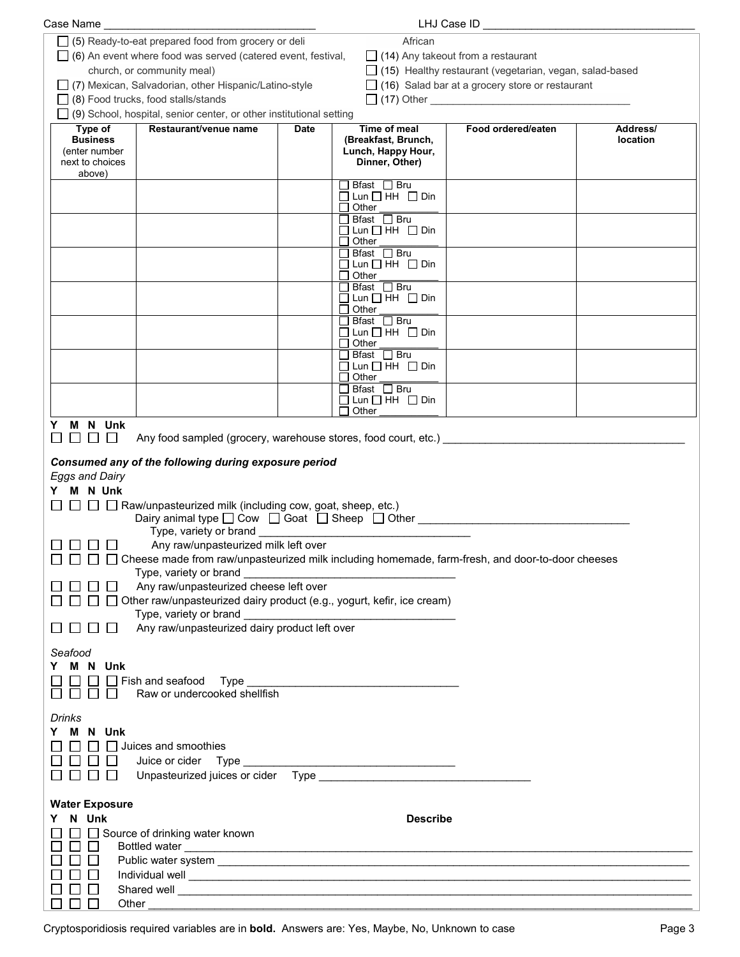| Case Name                         |                                                                                                                                                                                                                                      |             |                                                            | LHJ Case ID                                            |          |
|-----------------------------------|--------------------------------------------------------------------------------------------------------------------------------------------------------------------------------------------------------------------------------------|-------------|------------------------------------------------------------|--------------------------------------------------------|----------|
|                                   | □ (5) Ready-to-eat prepared food from grocery or deli                                                                                                                                                                                |             | African                                                    |                                                        |          |
|                                   | $\Box$ (6) An event where food was served (catered event, festival,                                                                                                                                                                  |             |                                                            | $\Box$ (14) Any takeout from a restaurant              |          |
|                                   | $\Box$ (15) Healthy restaurant (vegetarian, vegan, salad-based<br>church, or community meal)                                                                                                                                         |             |                                                            |                                                        |          |
|                                   | $\Box$ (7) Mexican, Salvadorian, other Hispanic/Latino-style                                                                                                                                                                         |             |                                                            | $\Box$ (16) Salad bar at a grocery store or restaurant |          |
|                                   | $\Box$ (8) Food trucks, food stalls/stands                                                                                                                                                                                           |             |                                                            |                                                        |          |
|                                   | $\Box$ (9) School, hospital, senior center, or other institutional setting                                                                                                                                                           |             |                                                            |                                                        |          |
| Type of                           | Restaurant/venue name                                                                                                                                                                                                                | <b>Date</b> | Time of meal                                               | Food ordered/eaten                                     | Address/ |
| <b>Business</b>                   |                                                                                                                                                                                                                                      |             | (Breakfast, Brunch,                                        |                                                        | location |
| (enter number                     |                                                                                                                                                                                                                                      |             | Lunch, Happy Hour,                                         |                                                        |          |
| next to choices                   |                                                                                                                                                                                                                                      |             | Dinner, Other)                                             |                                                        |          |
| above)                            |                                                                                                                                                                                                                                      |             | $\Box$ Bfast $\Box$ Bru                                    |                                                        |          |
|                                   |                                                                                                                                                                                                                                      |             | $\Box$ Lun $\Box$ HH $\Box$ Din                            |                                                        |          |
|                                   |                                                                                                                                                                                                                                      |             | $\Box$ Other                                               |                                                        |          |
|                                   |                                                                                                                                                                                                                                      |             | $\Box$ Bfast $\Box$ Bru                                    |                                                        |          |
|                                   |                                                                                                                                                                                                                                      |             | $\Box$ Lun $\Box$ HH $\Box$ Din<br>$\Box$ Other            |                                                        |          |
|                                   |                                                                                                                                                                                                                                      |             | $\Box$ Bfast $\Box$ Bru                                    |                                                        |          |
|                                   |                                                                                                                                                                                                                                      |             | $\Box$ Lun $\Box$ HH $\Box$ Din                            |                                                        |          |
|                                   |                                                                                                                                                                                                                                      |             | $\Box$ Other                                               |                                                        |          |
|                                   |                                                                                                                                                                                                                                      |             | $\Box$ Bfast $\Box$ Bru<br>$\Box$ Lun $\Box$ HH $\Box$ Din |                                                        |          |
|                                   |                                                                                                                                                                                                                                      |             | $\Box$ Other                                               |                                                        |          |
|                                   |                                                                                                                                                                                                                                      |             | $\Box$ Bfast $\Box$ Bru                                    |                                                        |          |
|                                   |                                                                                                                                                                                                                                      |             | $\Box$ Lun $\Box$ HH $\Box$ Din                            |                                                        |          |
|                                   |                                                                                                                                                                                                                                      |             | $\Box$ Other                                               |                                                        |          |
|                                   |                                                                                                                                                                                                                                      |             | $\Box$ Bfast $\Box$ Bru<br>$\Box$ Lun $\Box$ HH $\Box$ Din |                                                        |          |
|                                   |                                                                                                                                                                                                                                      |             | $\Box$ Other                                               |                                                        |          |
|                                   |                                                                                                                                                                                                                                      |             | □ Bfast □ Bru                                              |                                                        |          |
|                                   |                                                                                                                                                                                                                                      |             | $\Box$ Lun $\Box$ HH $\Box$ Din                            |                                                        |          |
|                                   |                                                                                                                                                                                                                                      |             | $\Box$ Other                                               |                                                        |          |
| M N Unk<br>Y.<br>$\Box$<br>$\Box$ | Any food sampled (grocery, warehouse stores, food court, etc.)                                                                                                                                                                       |             |                                                            |                                                        |          |
|                                   |                                                                                                                                                                                                                                      |             |                                                            |                                                        |          |
|                                   | Consumed any of the following during exposure period                                                                                                                                                                                 |             |                                                            |                                                        |          |
| <b>Eggs and Dairy</b>             |                                                                                                                                                                                                                                      |             |                                                            |                                                        |          |
| Y M N Unk                         |                                                                                                                                                                                                                                      |             |                                                            |                                                        |          |
|                                   | $\Box$ $\Box$ Raw/unpasteurized milk (including cow, goat, sheep, etc.)                                                                                                                                                              |             |                                                            |                                                        |          |
|                                   | Dairy animal type □ Cow □ Goat □ Sheep □ Other ________________________________                                                                                                                                                      |             |                                                            |                                                        |          |
|                                   | Type, variety or brand ____                                                                                                                                                                                                          |             |                                                            |                                                        |          |
|                                   | Any raw/unpasteurized milk left over                                                                                                                                                                                                 |             |                                                            |                                                        |          |
|                                   | □ □ Cheese made from raw/unpasteurized milk including homemade, farm-fresh, and door-to-door cheeses                                                                                                                                 |             |                                                            |                                                        |          |
|                                   | Type, variety or brand <b>example and the set of the set of the set of the set of the set of the set of the set of the set of the set of the set of the set of the set of the set of the set of the set of the set of the set of</b> |             |                                                            |                                                        |          |
|                                   | Any raw/unpasteurized cheese left over                                                                                                                                                                                               |             |                                                            |                                                        |          |
|                                   | Other raw/unpasteurized dairy product (e.g., yogurt, kefir, ice cream)                                                                                                                                                               |             |                                                            |                                                        |          |
|                                   | Type, variety or brand                                                                                                                                                                                                               |             |                                                            |                                                        |          |
|                                   | Any raw/unpasteurized dairy product left over                                                                                                                                                                                        |             |                                                            |                                                        |          |
|                                   |                                                                                                                                                                                                                                      |             |                                                            |                                                        |          |
| Seafood                           |                                                                                                                                                                                                                                      |             |                                                            |                                                        |          |
| Y M N Unk                         |                                                                                                                                                                                                                                      |             |                                                            |                                                        |          |
|                                   | $\Box$ Fish and seafood Type                                                                                                                                                                                                         |             |                                                            |                                                        |          |
|                                   | Raw or undercooked shellfish                                                                                                                                                                                                         |             |                                                            |                                                        |          |
|                                   |                                                                                                                                                                                                                                      |             |                                                            |                                                        |          |
| Drinks                            |                                                                                                                                                                                                                                      |             |                                                            |                                                        |          |
| Y M N Unk                         |                                                                                                                                                                                                                                      |             |                                                            |                                                        |          |
|                                   | Juices and smoothies                                                                                                                                                                                                                 |             |                                                            |                                                        |          |
|                                   |                                                                                                                                                                                                                                      |             |                                                            |                                                        |          |
| $\mathbf{L}$                      |                                                                                                                                                                                                                                      |             |                                                            |                                                        |          |
|                                   |                                                                                                                                                                                                                                      |             |                                                            |                                                        |          |
| <b>Water Exposure</b>             |                                                                                                                                                                                                                                      |             |                                                            |                                                        |          |
| N Unk                             |                                                                                                                                                                                                                                      |             | <b>Describe</b>                                            |                                                        |          |
|                                   | Source of drinking water known                                                                                                                                                                                                       |             |                                                            |                                                        |          |
|                                   | Bottled water                                                                                                                                                                                                                        |             |                                                            |                                                        |          |
|                                   |                                                                                                                                                                                                                                      |             |                                                            |                                                        |          |
|                                   |                                                                                                                                                                                                                                      |             |                                                            |                                                        |          |
|                                   | Shared well <b>contract the contract of the contract of the contract of the contract of the contract of the contract of the contract of the contract of the contract of the contract of the contract of the contract of the cont</b> |             |                                                            |                                                        |          |
| Other                             |                                                                                                                                                                                                                                      |             |                                                            |                                                        |          |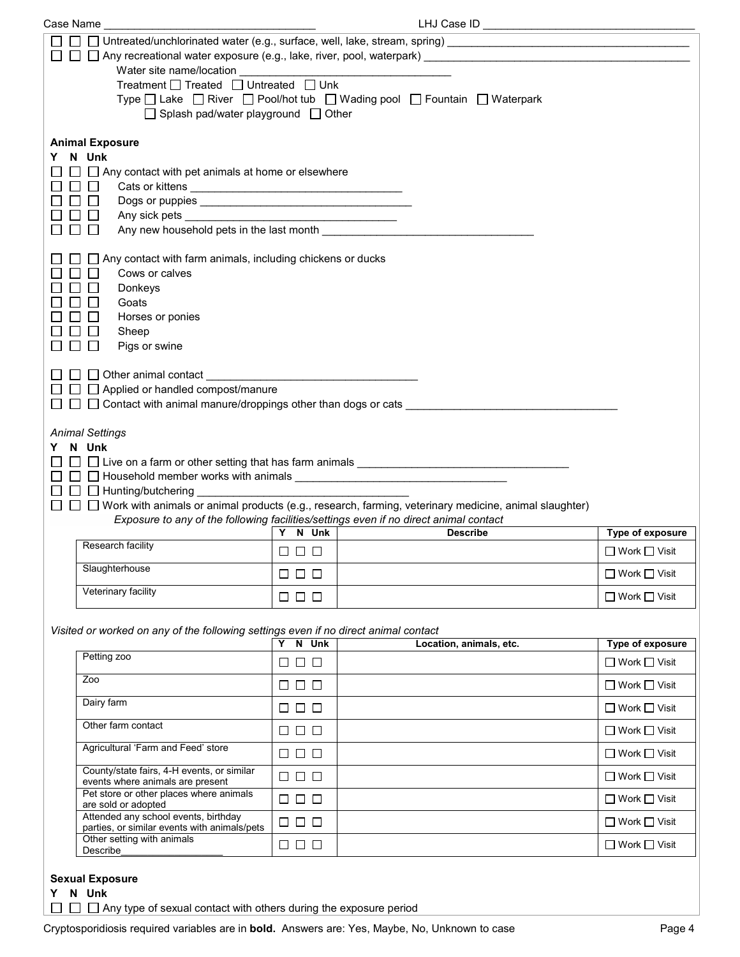| Case Name                                                                                                                                                                                                                                                                                                                                                                                                                                 |                        | LHJ Case ID                                                                                                                                                                                           |                                              |
|-------------------------------------------------------------------------------------------------------------------------------------------------------------------------------------------------------------------------------------------------------------------------------------------------------------------------------------------------------------------------------------------------------------------------------------------|------------------------|-------------------------------------------------------------------------------------------------------------------------------------------------------------------------------------------------------|----------------------------------------------|
| $\perp$                                                                                                                                                                                                                                                                                                                                                                                                                                   |                        |                                                                                                                                                                                                       |                                              |
| Water site name/location                                                                                                                                                                                                                                                                                                                                                                                                                  |                        |                                                                                                                                                                                                       |                                              |
| Treatment $\Box$ Treated $\Box$ Untreated $\Box$ Unk<br>$\Box$ Splash pad/water playground $\Box$ Other                                                                                                                                                                                                                                                                                                                                   |                        | Type □ Lake □ River □ Pool/hot tub □ Wading pool □ Fountain □ Waterpark                                                                                                                               |                                              |
| <b>Animal Exposure</b><br>N Unk<br>$\Box$ Any contact with pet animals at home or elsewhere<br>$\mathsf{L}$<br>$\Box$<br>$\mathsf{L}$<br>l 1<br>$\Box$<br>$\perp$<br>Any new household pets in the last month <b>contains the set of the set of the set of the set of the set of the set of the set of the set of the set of the set of the set of the set of the set of the set of the set of the se</b><br>$\mathsf{L}$<br>$\mathbf{L}$ |                        |                                                                                                                                                                                                       |                                              |
| Any contact with farm animals, including chickens or ducks<br>Cows or calves<br>Donkeys<br>Goats<br>Horses or ponies<br>Sheep<br>Pigs or swine                                                                                                                                                                                                                                                                                            |                        |                                                                                                                                                                                                       |                                              |
| $\Box$ Other animal contact<br>$\Box$ $\Box$ Applied or handled compost/manure<br>$\Box$ $\Box$ Contact with animal manure/droppings other than dogs or cats $\Box$                                                                                                                                                                                                                                                                       |                        |                                                                                                                                                                                                       |                                              |
| <b>Animal Settings</b><br>N Unk<br>Y.                                                                                                                                                                                                                                                                                                                                                                                                     |                        |                                                                                                                                                                                                       |                                              |
| $\Box$ Hunting/butchering<br>$\perp$                                                                                                                                                                                                                                                                                                                                                                                                      |                        | $\Box$ Work with animals or animal products (e.g., research, farming, veterinary medicine, animal slaughter)<br>Exposure to any of the following facilities/settings even if no direct animal contact |                                              |
|                                                                                                                                                                                                                                                                                                                                                                                                                                           | Y N Unk                | <b>Describe</b>                                                                                                                                                                                       | Type of exposure                             |
| Research facility                                                                                                                                                                                                                                                                                                                                                                                                                         | 888                    |                                                                                                                                                                                                       | $\Box$ Work $\Box$ Visit                     |
| Slaughterhouse                                                                                                                                                                                                                                                                                                                                                                                                                            | $\Box$ $\Box$ $\Box$   |                                                                                                                                                                                                       | $\Box$ Work $\Box$ Visit                     |
| Veterinary facility                                                                                                                                                                                                                                                                                                                                                                                                                       | $\Box$                 |                                                                                                                                                                                                       | $\Box$ Work $\Box$ Visit                     |
|                                                                                                                                                                                                                                                                                                                                                                                                                                           |                        |                                                                                                                                                                                                       |                                              |
| Visited or worked on any of the following settings even if no direct animal contact                                                                                                                                                                                                                                                                                                                                                       |                        |                                                                                                                                                                                                       |                                              |
| Petting zoo                                                                                                                                                                                                                                                                                                                                                                                                                               | N Unk<br>$\Box$ $\Box$ | Location, animals, etc.                                                                                                                                                                               | Type of exposure<br>$\Box$ Work $\Box$ Visit |
| Zoo                                                                                                                                                                                                                                                                                                                                                                                                                                       | $\Box$ $\Box$ $\Box$   |                                                                                                                                                                                                       | $\Box$ Work $\Box$ Visit                     |
| Dairy farm                                                                                                                                                                                                                                                                                                                                                                                                                                | $\Box$ $\Box$          |                                                                                                                                                                                                       | $\Box$ Work $\Box$ Visit                     |
| Other farm contact                                                                                                                                                                                                                                                                                                                                                                                                                        | $\Box$ $\Box$ $\Box$   |                                                                                                                                                                                                       | $\Box$ Work $\Box$ Visit                     |
| Agricultural 'Farm and Feed' store                                                                                                                                                                                                                                                                                                                                                                                                        | $\Box$ $\Box$ $\Box$   |                                                                                                                                                                                                       | $\Box$ Work $\Box$ Visit                     |
| County/state fairs, 4-H events, or similar<br>events where animals are present                                                                                                                                                                                                                                                                                                                                                            | $\Box$ $\Box$ $\Box$   |                                                                                                                                                                                                       | $\Box$ Work $\Box$ Visit                     |
| Pet store or other places where animals<br>are sold or adopted                                                                                                                                                                                                                                                                                                                                                                            | $\Box$ $\Box$ $\Box$   |                                                                                                                                                                                                       | $\Box$ Work $\Box$ Visit                     |
| Attended any school events, birthday                                                                                                                                                                                                                                                                                                                                                                                                      | $\Box$ $\Box$ $\Box$   |                                                                                                                                                                                                       | $\Box$ Work $\Box$ Visit                     |
| parties, or similar events with animals/pets<br>Other setting with animals<br>Describe                                                                                                                                                                                                                                                                                                                                                    | $\Box$ $\Box$ $\Box$   |                                                                                                                                                                                                       | □ Work □ Visit                               |

| <b>Sexual Exposu</b> |  |  |
|----------------------|--|--|
| ,, ,, ,, ,           |  |  |

**Y N Unk**

 $\Box$   $\Box$   $\Box$  Any type of sexual contact with others during the exposure period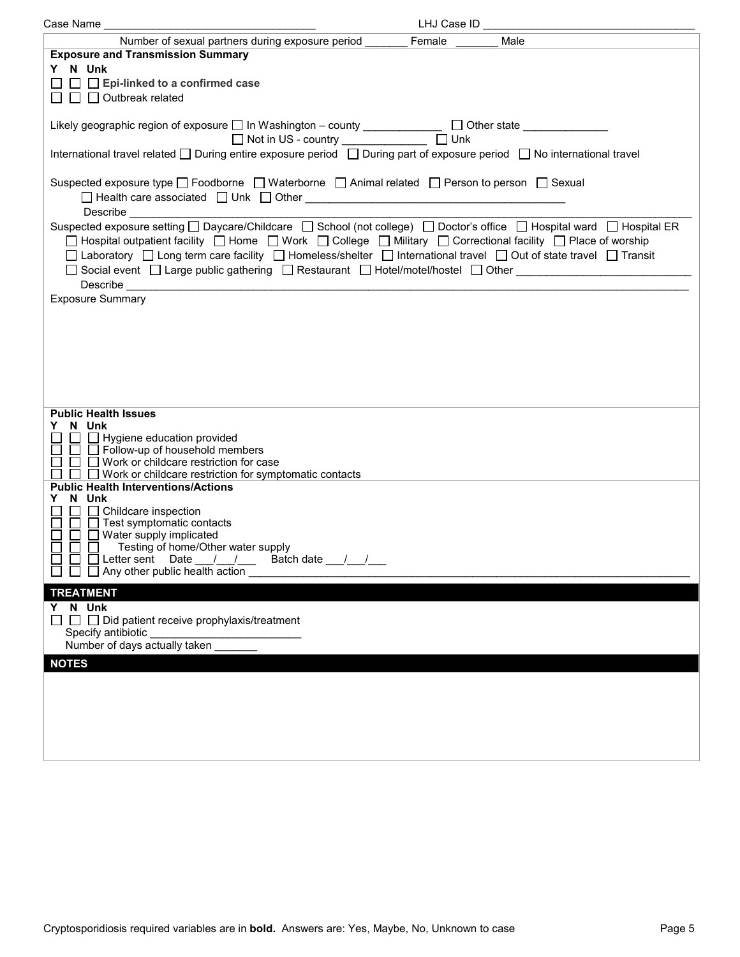| Case Name                                                                                                               |      |  |
|-------------------------------------------------------------------------------------------------------------------------|------|--|
| Number of sexual partners during exposure period Female                                                                 | Male |  |
| <b>Exposure and Transmission Summary</b>                                                                                |      |  |
| Y N Unk                                                                                                                 |      |  |
| $\Box$ Epi-linked to a confirmed case                                                                                   |      |  |
| $\Box$ Outbreak related                                                                                                 |      |  |
|                                                                                                                         |      |  |
| Likely geographic region of exposure □ In Washington - county _____________ □ Other state __________                    |      |  |
|                                                                                                                         |      |  |
| International travel related □ During entire exposure period □ During part of exposure period □ No international travel |      |  |
|                                                                                                                         |      |  |
| Suspected exposure type □ Foodborne □ Waterborne □ Animal related □ Person to person □ Sexual                           |      |  |
|                                                                                                                         |      |  |
| Describe                                                                                                                |      |  |
| Suspected exposure setting □ Daycare/Childcare □ School (not college) □ Doctor's office □ Hospital ward □ Hospital ER   |      |  |
| □ Hospital outpatient facility □ Home □ Work □ College □ Military □ Correctional facility □ Place of worship            |      |  |
| □ Laboratory □ Long term care facility □ Homeless/shelter □ International travel □ Out of state travel □ Transit        |      |  |
| □ Social event □ Large public gathering □ Restaurant □ Hotel/motel/hostel □ Other _______________________               |      |  |
|                                                                                                                         |      |  |
| <b>Exposure Summary</b>                                                                                                 |      |  |
|                                                                                                                         |      |  |
|                                                                                                                         |      |  |
|                                                                                                                         |      |  |
|                                                                                                                         |      |  |
|                                                                                                                         |      |  |
|                                                                                                                         |      |  |
|                                                                                                                         |      |  |
| <b>Public Health Issues</b>                                                                                             |      |  |
| Y N Unk                                                                                                                 |      |  |
| □ □ Hygiene education provided<br>□ □ Follow-up of household members                                                    |      |  |
| $\Box$ Work or childcare restriction for case                                                                           |      |  |
| $\Box$ Work or childcare restriction for symptomatic contacts                                                           |      |  |
| <b>Public Health Interventions/Actions</b>                                                                              |      |  |
| N Unk<br>Y                                                                                                              |      |  |
| $\Box$ Childcare inspection                                                                                             |      |  |
| $\Box$ Test symptomatic contacts<br>□ ■ Water supply implicated                                                         |      |  |
| $\Box$ Testing of home/Other water supply                                                                               |      |  |
| $\Box$ $\Box$ Letter sent Date __/ __/ __ Batch date __/ __/ __                                                         |      |  |
| $\Box$ Any other public health action                                                                                   |      |  |
| <b>TREATMENT</b>                                                                                                        |      |  |
| Y N Unk                                                                                                                 |      |  |
| $\Box$ $\Box$ Did patient receive prophylaxis/treatment                                                                 |      |  |
| Specify antibiotic                                                                                                      |      |  |
| Number of days actually taken                                                                                           |      |  |
| <b>NOTES</b>                                                                                                            |      |  |
|                                                                                                                         |      |  |
|                                                                                                                         |      |  |
|                                                                                                                         |      |  |
|                                                                                                                         |      |  |
|                                                                                                                         |      |  |
|                                                                                                                         |      |  |
|                                                                                                                         |      |  |